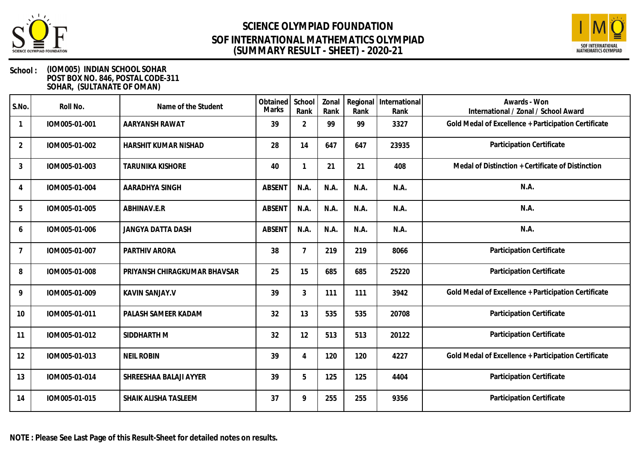



| S.No.          | Roll No.      | Name of the Student          | Obtained<br><b>Marks</b> | School<br>Rank | Zonal<br>Rank | Regional<br>Rank | International<br>Rank | Awards - Won<br>International / Zonal / School Award |
|----------------|---------------|------------------------------|--------------------------|----------------|---------------|------------------|-----------------------|------------------------------------------------------|
|                | IOM005-01-001 | AARYANSH RAWAT               | 39                       | $\overline{2}$ | 99            | 99               | 3327                  | Gold Medal of Excellence + Participation Certificate |
| $\overline{2}$ | IOM005-01-002 | HARSHIT KUMAR NISHAD         | 28                       | 14             | 647           | 647              | 23935                 | Participation Certificate                            |
| 3              | IOM005-01-003 | <b>TARUNIKA KISHORE</b>      | 40                       |                | 21            | 21               | 408                   | Medal of Distinction + Certificate of Distinction    |
| 4              | IOM005-01-004 | AARADHYA SINGH               | <b>ABSENT</b>            | N.A.           | N.A.          | N.A.             | N.A.                  | N.A.                                                 |
| 5              | IOM005-01-005 | ABHINAV.E.R                  | <b>ABSENT</b>            | N.A.           | N.A.          | N.A.             | N.A.                  | N.A.                                                 |
| 6              | IOM005-01-006 | <b>JANGYA DATTA DASH</b>     | <b>ABSENT</b>            | N.A.           | N.A.          | N.A.             | N.A.                  | N.A.                                                 |
| $\overline{7}$ | IOM005-01-007 | PARTHIV ARORA                | 38                       |                | 219           | 219              | 8066                  | Participation Certificate                            |
| 8              | IOM005-01-008 | PRIYANSH CHIRAGKUMAR BHAVSAR | 25                       | 15             | 685           | 685              | 25220                 | Participation Certificate                            |
| 9              | IOM005-01-009 | <b>KAVIN SANJAY.V</b>        | 39                       | 3              | 111           | 111              | 3942                  | Gold Medal of Excellence + Participation Certificate |
| 10             | IOM005-01-011 | PALASH SAMEER KADAM          | 32                       | 13             | 535           | 535              | 20708                 | Participation Certificate                            |
| 11             | IOM005-01-012 | SIDDHARTH M                  | 32                       | 12             | 513           | 513              | 20122                 | Participation Certificate                            |
| 12             | IOM005-01-013 | <b>NEIL ROBIN</b>            | 39                       | $\overline{4}$ | 120           | 120              | 4227                  | Gold Medal of Excellence + Participation Certificate |
| 13             | IOM005-01-014 | SHREESHAA BALAJI AYYER       | 39                       | 5              | 125           | 125              | 4404                  | Participation Certificate                            |
| 14             | IOM005-01-015 | SHAIK ALISHA TASLEEM         | 37                       | 9              | 255           | 255              | 9356                  | Participation Certificate                            |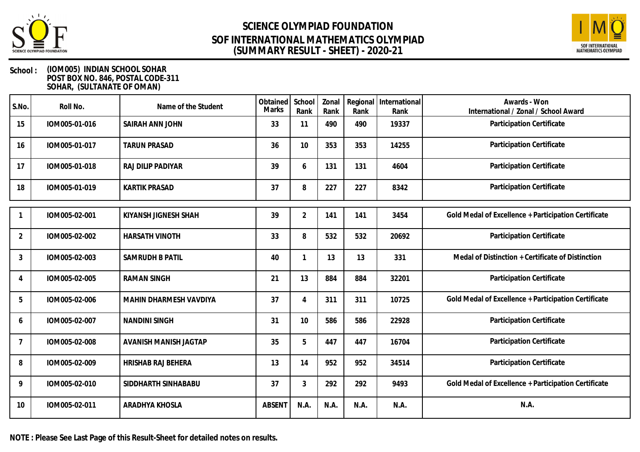



#### **School : (IOM005) INDIAN SCHOOL SOHAR POST BOX NO. 846, POSTAL CODE-311 SOHAR, (SULTANATE OF OMAN)**

| S.No.          | Roll No.      | Name of the Student    | Obtained<br>Marks | School<br>Rank | Zonal<br>Rank | Regional<br>Rank | International<br>Rank | Awards - Won<br>International / Zonal / School Award |
|----------------|---------------|------------------------|-------------------|----------------|---------------|------------------|-----------------------|------------------------------------------------------|
| 15             | IOM005-01-016 | SAIRAH ANN JOHN        | 33                | 11             | 490           | 490              | 19337                 | Participation Certificate                            |
| 16             | IOM005-01-017 | <b>TARUN PRASAD</b>    | 36                | 10             | 353           | 353              | 14255                 | Participation Certificate                            |
| 17             | IOM005-01-018 | RAJ DILIP PADIYAR      | 39                | 6              | 131           | 131              | 4604                  | Participation Certificate                            |
| 18             | IOM005-01-019 | <b>KARTIK PRASAD</b>   | 37                | 8              | 227           | 227              | 8342                  | Participation Certificate                            |
|                | IOM005-02-001 | KIYANSH JIGNESH SHAH   | 39                | $\overline{2}$ | 141           | 141              | 3454                  | Gold Medal of Excellence + Participation Certificate |
| 2              | IOM005-02-002 | <b>HARSATH VINOTH</b>  | 33                | 8              | 532           | 532              | 20692                 | Participation Certificate                            |
| 3              | IOM005-02-003 | <b>SAMRUDH B PATIL</b> | 40                |                | 13            | 13               | 331                   | Medal of Distinction + Certificate of Distinction    |
| $\overline{4}$ | IOM005-02-005 | <b>RAMAN SINGH</b>     | 21                | 13             | 884           | 884              | 32201                 | Participation Certificate                            |
| 5              | IOM005-02-006 | MAHIN DHARMESH VAVDIYA | 37                | 4              | 311           | 311              | 10725                 | Gold Medal of Excellence + Participation Certificate |
| 6              | IOM005-02-007 | <b>NANDINI SINGH</b>   | 31                | 10             | 586           | 586              | 22928                 | Participation Certificate                            |
| $\overline{7}$ | IOM005-02-008 | AVANISH MANISH JAGTAP  | 35                | 5              | 447           | 447              | 16704                 | Participation Certificate                            |
| 8              | IOM005-02-009 | HRISHAB RAJ BEHERA     | 13                | 14             | 952           | 952              | 34514                 | Participation Certificate                            |
| 9              | IOM005-02-010 | SIDDHARTH SINHABABU    | 37                | 3              | 292           | 292              | 9493                  | Gold Medal of Excellence + Participation Certificate |
| 10             | IOM005-02-011 | ARADHYA KHOSLA         | <b>ABSENT</b>     | N.A.           | N.A.          | N.A.             | N.A.                  | N.A.                                                 |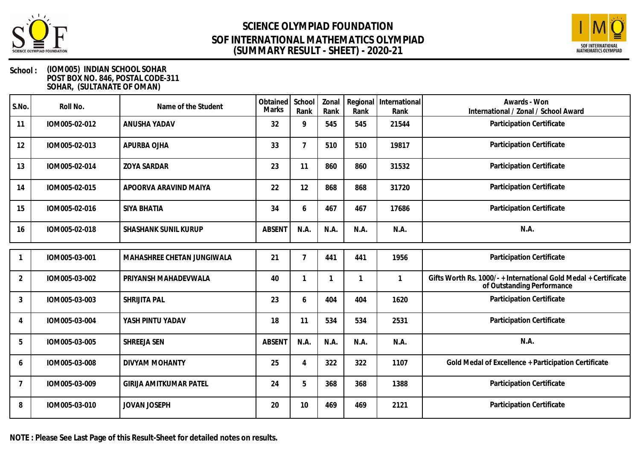



#### **School : (IOM005) INDIAN SCHOOL SOHAR POST BOX NO. 846, POSTAL CODE-311 SOHAR, (SULTANATE OF OMAN)**

| S.No.          | Roll No.      | Name of the Student           | Obtained<br>Marks | School<br>Rank | Zonal<br>Rank | Regional<br>Rank | International<br>Rank | Awards - Won<br>International / Zonal / School Award                                        |
|----------------|---------------|-------------------------------|-------------------|----------------|---------------|------------------|-----------------------|---------------------------------------------------------------------------------------------|
| 11             | IOM005-02-012 | ANUSHA YADAV                  | 32                | 9              | 545           | 545              | 21544                 | Participation Certificate                                                                   |
| 12             | IOM005-02-013 | APURBA OJHA                   | 33                | $\overline{7}$ | 510           | 510              | 19817                 | Participation Certificate                                                                   |
| 13             | IOM005-02-014 | <b>ZOYA SARDAR</b>            | 23                | 11             | 860           | 860              | 31532                 | Participation Certificate                                                                   |
| 14             | IOM005-02-015 | APOORVA ARAVIND MAIYA         | 22                | 12             | 868           | 868              | 31720                 | Participation Certificate                                                                   |
| 15             | IOM005-02-016 | SIYA BHATIA                   | 34                | 6              | 467           | 467              | 17686                 | Participation Certificate                                                                   |
| 16             | IOM005-02-018 | SHASHANK SUNIL KURUP          | <b>ABSENT</b>     | N.A.           | N.A.          | N.A.             | N.A.                  | N.A.                                                                                        |
|                | IOM005-03-001 | MAHASHREE CHETAN JUNGIWALA    | 21                | 7              | 441           | 441              | 1956                  | Participation Certificate                                                                   |
| $\overline{2}$ | IOM005-03-002 | PRIYANSH MAHADEVWALA          | 40                | 1              |               | $\mathbf 1$      | 1                     | Gifts Worth Rs. 1000/-+International Gold Medal + Certificate<br>of Outstanding Performance |
| $\mathbf{3}$   | IOM005-03-003 | SHRIJITA PAL                  | 23                | 6              | 404           | 404              | 1620                  | Participation Certificate                                                                   |
| 4              | IOM005-03-004 | YASH PINTU YADAV              | 18                | 11             | 534           | 534              | 2531                  | Participation Certificate                                                                   |
| 5              | IOM005-03-005 | SHREEJA SEN                   | <b>ABSENT</b>     | N.A.           | N.A.          | N.A.             | N.A.                  | N.A.                                                                                        |
| 6              | IOM005-03-008 | DIVYAM MOHANTY                | 25                | 4              | 322           | 322              | 1107                  | Gold Medal of Excellence + Participation Certificate                                        |
| 7              | IOM005-03-009 | <b>GIRIJA AMITKUMAR PATEL</b> | 24                | 5              | 368           | 368              | 1388                  | Participation Certificate                                                                   |
| 8              | IOM005-03-010 | <b>JOVAN JOSEPH</b>           | 20                | 10             | 469           | 469              | 2121                  | Participation Certificate                                                                   |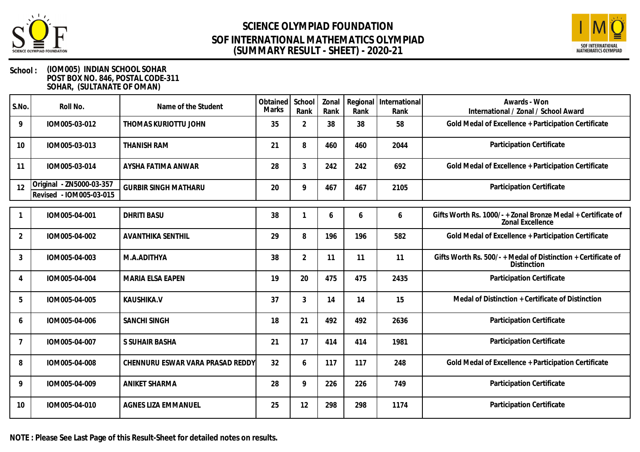



| S.No.          | Roll No.                                            | Name of the Student              | Obtained<br>Marks | School<br>Rank | Zonal<br>Rank | Rank | Regional   International<br>Rank | Awards - Won<br>International / Zonal / School Award                                  |
|----------------|-----------------------------------------------------|----------------------------------|-------------------|----------------|---------------|------|----------------------------------|---------------------------------------------------------------------------------------|
| 9              | IOM005-03-012                                       | THOMAS KURIOTTU JOHN             | 35                | $\overline{2}$ | 38            | 38   | 58                               | Gold Medal of Excellence + Participation Certificate                                  |
| 10             | IOM005-03-013                                       | THANISH RAM                      | 21                | 8              | 460           | 460  | 2044                             | Participation Certificate                                                             |
| 11             | IOM005-03-014                                       | AYSHA FATIMA ANWAR               | 28                | 3              | 242           | 242  | 692                              | Gold Medal of Excellence + Participation Certificate                                  |
| 12             | Original - ZN5000-03-357<br>Revised - IOM005-03-015 | <b>GURBIR SINGH MATHARU</b>      | 20                | 9              | 467           | 467  | 2105                             | Participation Certificate                                                             |
|                | IOM005-04-001                                       | <b>DHRITI BASU</b>               | 38                |                | 6             | 6    | 6                                | Gifts Worth Rs. 1000/-+Zonal Bronze Medal + Certificate of<br><b>Zonal Excellence</b> |
| $\overline{2}$ | IOM005-04-002                                       | <b>AVANTHIKA SENTHIL</b>         | 29                | 8              | 196           | 196  | 582                              | Gold Medal of Excellence + Participation Certificate                                  |
| $\mathfrak{Z}$ | IOM005-04-003                                       | M.A.ADITHYA                      | 38                | $\overline{2}$ | 11            | 11   | 11                               | Gifts Worth Rs. 500/-+Medal of Distinction + Certificate of<br>Distinction            |
| 4              | IOM005-04-004                                       | MARIA ELSA EAPEN                 | 19                | 20             | 475           | 475  | 2435                             | Participation Certificate                                                             |
| 5              | IOM005-04-005                                       | KAUSHIKA.V                       | 37                | 3              | 14            | 14   | 15                               | Medal of Distinction + Certificate of Distinction                                     |
| 6              | IOM005-04-006                                       | <b>SANCHI SINGH</b>              | 18                | 21             | 492           | 492  | 2636                             | Participation Certificate                                                             |
|                | IOM005-04-007                                       | S SUHAIR BASHA                   | 21                | 17             | 414           | 414  | 1981                             | Participation Certificate                                                             |
| 8              | IOM005-04-008                                       | CHENNURU ESWAR VARA PRASAD REDDY | 32                | 6              | 117           | 117  | 248                              | Gold Medal of Excellence + Participation Certificate                                  |
| 9              | IOM005-04-009                                       | <b>ANIKET SHARMA</b>             | 28                | 9              | 226           | 226  | 749                              | Participation Certificate                                                             |
| 10             | IOM005-04-010                                       | AGNES LIZA EMMANUEL              | 25                | 12             | 298           | 298  | 1174                             | Participation Certificate                                                             |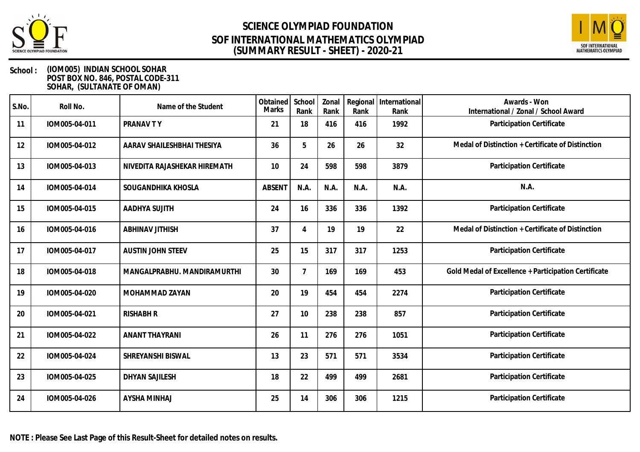



| S.No. | Roll No.      | Name of the Student          | Obtained<br><b>Marks</b> | School<br>Rank | Zonal<br>Rank | Rank | Regional   International<br>Rank | Awards - Won<br>International / Zonal / School Award |
|-------|---------------|------------------------------|--------------------------|----------------|---------------|------|----------------------------------|------------------------------------------------------|
| 11    | IOM005-04-011 | PRANAV TY                    | 21                       | 18             | 416           | 416  | 1992                             | Participation Certificate                            |
| 12    | IOM005-04-012 | AARAV SHAILESHBHAI THESIYA   | 36                       | 5              | 26            | 26   | 32                               | Medal of Distinction + Certificate of Distinction    |
| 13    | IOM005-04-013 | NIVEDITA RAJASHEKAR HIREMATH | 10                       | 24             | 598           | 598  | 3879                             | Participation Certificate                            |
| 14    | IOM005-04-014 | SOUGANDHIKA KHOSLA           | <b>ABSENT</b>            | N.A.           | N.A.          | N.A. | N.A.                             | N.A.                                                 |
| 15    | IOM005-04-015 | AADHYA SUJITH                | 24                       | 16             | 336           | 336  | 1392                             | Participation Certificate                            |
| 16    | IOM005-04-016 | <b>ABHINAV JITHISH</b>       | 37                       | 4              | 19            | 19   | 22                               | Medal of Distinction + Certificate of Distinction    |
| 17    | IOM005-04-017 | <b>AUSTIN JOHN STEEV</b>     | 25                       | 15             | 317           | 317  | 1253                             | Participation Certificate                            |
| 18    | IOM005-04-018 | MANGALPRABHU. MANDIRAMURTHI  | 30                       | 7              | 169           | 169  | 453                              | Gold Medal of Excellence + Participation Certificate |
| 19    | IOM005-04-020 | MOHAMMAD ZAYAN               | 20                       | 19             | 454           | 454  | 2274                             | Participation Certificate                            |
| 20    | IOM005-04-021 | <b>RISHABH R</b>             | 27                       | 10             | 238           | 238  | 857                              | Participation Certificate                            |
| 21    | IOM005-04-022 | <b>ANANT THAYRANI</b>        | 26                       | 11             | 276           | 276  | 1051                             | Participation Certificate                            |
| 22    | IOM005-04-024 | SHREYANSHI BISWAL            | 13                       | 23             | 571           | 571  | 3534                             | Participation Certificate                            |
| 23    | IOM005-04-025 | <b>DHYAN SAJILESH</b>        | 18                       | 22             | 499           | 499  | 2681                             | Participation Certificate                            |
| 24    | IOM005-04-026 | <b>AYSHA MINHAJ</b>          | 25                       | 14             | 306           | 306  | 1215                             | Participation Certificate                            |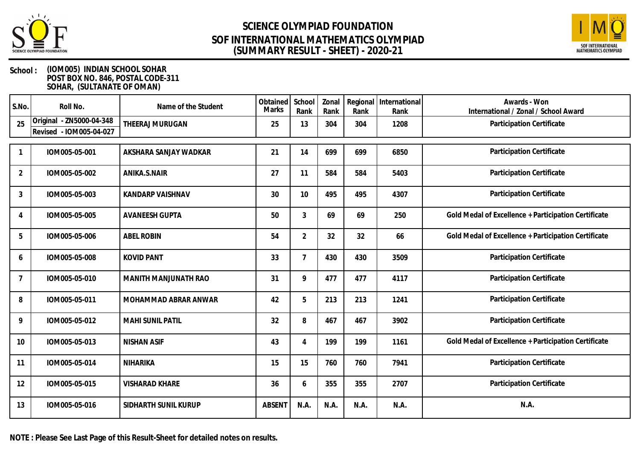



#### **School : (IOM005) INDIAN SCHOOL SOHAR POST BOX NO. 846, POSTAL CODE-311 SOHAR, (SULTANATE OF OMAN)**

| S.No.          | Roll No.                                                  | Name of the Student     | Obtained<br><b>Marks</b> | School<br>Rank              | Zonal<br>Rank | Rank | Regional   International<br>Rank | Awards - Won<br>International / Zonal / School Award |
|----------------|-----------------------------------------------------------|-------------------------|--------------------------|-----------------------------|---------------|------|----------------------------------|------------------------------------------------------|
| 25             | - ZN5000-04-348<br>Original<br>- IOM005-04-027<br>Revised | THEERAJ MURUGAN         | 25                       | 13                          | 304           | 304  | 1208                             | Participation Certificate                            |
|                | IOM005-05-001                                             | AKSHARA SANJAY WADKAR   | 21                       | 14                          | 699           | 699  | 6850                             | Participation Certificate                            |
| $\overline{2}$ | IOM005-05-002                                             | ANIKA.S.NAIR            | 27                       | 11                          | 584           | 584  | 5403                             | Participation Certificate                            |
| 3              | IOM005-05-003                                             | <b>KANDARP VAISHNAV</b> | 30                       | 10                          | 495           | 495  | 4307                             | Participation Certificate                            |
| 4              | IOM005-05-005                                             | <b>AVANEESH GUPTA</b>   | 50                       | $\mathfrak{Z}$              | 69            | 69   | 250                              | Gold Medal of Excellence + Participation Certificate |
| 5              | IOM005-05-006                                             | <b>ABEL ROBIN</b>       | 54                       | $\overline{2}$              | 32            | 32   | 66                               | Gold Medal of Excellence + Participation Certificate |
| 6              | IOM005-05-008                                             | <b>KOVID PANT</b>       | 33                       | $\overline{7}$              | 430           | 430  | 3509                             | Participation Certificate                            |
| $\overline{7}$ | IOM005-05-010                                             | MANITH MANJUNATH RAO    | 31                       | 9                           | 477           | 477  | 4117                             | Participation Certificate                            |
| 8              | IOM005-05-011                                             | MOHAMMAD ABRAR ANWAR    | 42                       | 5                           | 213           | 213  | 1241                             | Participation Certificate                            |
| 9              | IOM005-05-012                                             | <b>MAHI SUNIL PATIL</b> | 32                       | 8                           | 467           | 467  | 3902                             | Participation Certificate                            |
| 10             | IOM005-05-013                                             | <b>NISHAN ASIF</b>      | 43                       | $\boldsymbol{\vartriangle}$ | 199           | 199  | 1161                             | Gold Medal of Excellence + Participation Certificate |
| 11             | IOM005-05-014                                             | NIHARIKA                | 15                       | 15                          | 760           | 760  | 7941                             | Participation Certificate                            |
| 12             | IOM005-05-015                                             | <b>VISHARAD KHARE</b>   | 36                       | 6                           | 355           | 355  | 2707                             | Participation Certificate                            |
| 13             | IOM005-05-016                                             | SIDHARTH SUNIL KURUP    | <b>ABSENT</b>            | N.A.                        | N.A.          | N.A. | N.A.                             | N.A.                                                 |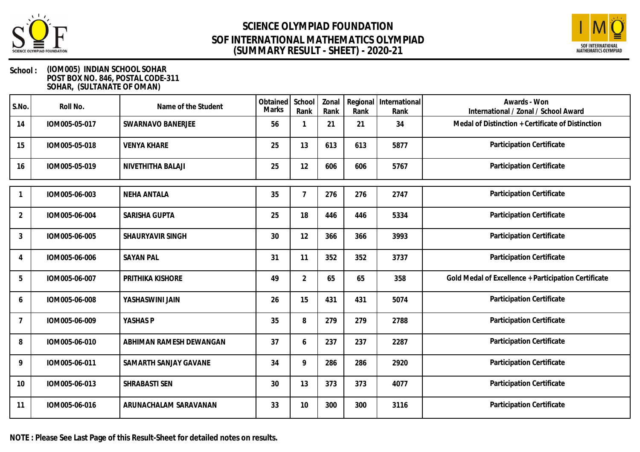



#### **School : (IOM005) INDIAN SCHOOL SOHAR POST BOX NO. 846, POSTAL CODE-311 SOHAR, (SULTANATE OF OMAN)**

| S.No.          | Roll No.      | Name of the Student     | Obtained<br>Marks | School<br>Rank | Zonal<br>Rank | Regional<br>Rank | International<br>Rank | Awards - Won<br>International / Zonal / School Award |
|----------------|---------------|-------------------------|-------------------|----------------|---------------|------------------|-----------------------|------------------------------------------------------|
| 14             | IOM005-05-017 | SWARNAVO BANERJEE       | 56                |                | 21            | 21               | 34                    | Medal of Distinction + Certificate of Distinction    |
| 15             | IOM005-05-018 | <b>VENYA KHARE</b>      | 25                | 13             | 613           | 613              | 5877                  | Participation Certificate                            |
| 16             | IOM005-05-019 | NIVETHITHA BALAJI       | 25                | 12             | 606           | 606              | 5767                  | Participation Certificate                            |
|                | IOM005-06-003 | <b>NEHA ANTALA</b>      | 35                | 7              | 276           | 276              | 2747                  | Participation Certificate                            |
| 2              | IOM005-06-004 | SARISHA GUPTA           | 25                | 18             | 446           | 446              | 5334                  | Participation Certificate                            |
| 3              | IOM005-06-005 | SHAURYAVIR SINGH        | 30                | 12             | 366           | 366              | 3993                  | Participation Certificate                            |
| 4              | IOM005-06-006 | <b>SAYAN PAL</b>        | 31                | 11             | 352           | 352              | 3737                  | Participation Certificate                            |
| 5              | IOM005-06-007 | PRITHIKA KISHORE        | 49                | $\overline{2}$ | 65            | 65               | 358                   | Gold Medal of Excellence + Participation Certificate |
| 6              | IOM005-06-008 | YASHASWINI JAIN         | 26                | 15             | 431           | 431              | 5074                  | Participation Certificate                            |
| $\overline{7}$ | IOM005-06-009 | YASHAS P                | 35                | 8              | 279           | 279              | 2788                  | Participation Certificate                            |
| 8              | IOM005-06-010 | ABHIMAN RAMESH DEWANGAN | 37                | 6              | 237           | 237              | 2287                  | Participation Certificate                            |
| 9              | IOM005-06-011 | SAMARTH SANJAY GAVANE   | 34                | 9              | 286           | 286              | 2920                  | Participation Certificate                            |
| 10             | IOM005-06-013 | SHRABASTI SEN           | 30                | 13             | 373           | 373              | 4077                  | Participation Certificate                            |
| 11             | IOM005-06-016 | ARUNACHALAM SARAVANAN   | 33                | 10             | 300           | 300              | 3116                  | Participation Certificate                            |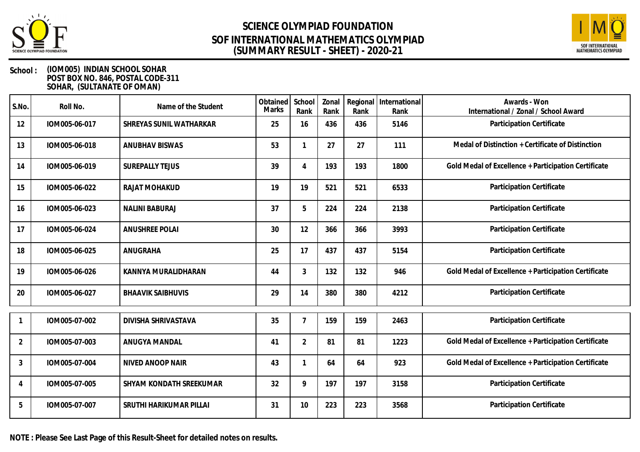



#### **School : (IOM005) INDIAN SCHOOL SOHAR POST BOX NO. 846, POSTAL CODE-311 SOHAR, (SULTANATE OF OMAN)**

| S.No.          | Roll No.      | Name of the Student      | Obtained<br>Marks | School<br>Rank | Zonal<br>Rank | Regional<br>Rank | International<br>Rank | Awards - Won<br>International / Zonal / School Award |
|----------------|---------------|--------------------------|-------------------|----------------|---------------|------------------|-----------------------|------------------------------------------------------|
| 12             | IOM005-06-017 | SHREYAS SUNIL WATHARKAR  | 25                | 16             | 436           | 436              | 5146                  | Participation Certificate                            |
| 13             | IOM005-06-018 | <b>ANUBHAV BISWAS</b>    | 53                |                | 27            | 27               | 111                   | Medal of Distinction + Certificate of Distinction    |
| 14             | IOM005-06-019 | <b>SUREPALLY TEJUS</b>   | 39                | 4              | 193           | 193              | 1800                  | Gold Medal of Excellence + Participation Certificate |
| 15             | IOM005-06-022 | RAJAT MOHAKUD            | 19                | 19             | 521           | 521              | 6533                  | Participation Certificate                            |
| 16             | IOM005-06-023 | <b>NALINI BABURAJ</b>    | 37                | 5              | 224           | 224              | 2138                  | Participation Certificate                            |
| 17             | IOM005-06-024 | <b>ANUSHREE POLAI</b>    | 30                | 12             | 366           | 366              | 3993                  | Participation Certificate                            |
| 18             | IOM005-06-025 | ANUGRAHA                 | 25                | 17             | 437           | 437              | 5154                  | Participation Certificate                            |
| 19             | IOM005-06-026 | KANNYA MURALIDHARAN      | 44                | 3              | 132           | 132              | 946                   | Gold Medal of Excellence + Participation Certificate |
| 20             | IOM005-06-027 | <b>BHAAVIK SAIBHUVIS</b> | 29                | 14             | 380           | 380              | 4212                  | Participation Certificate                            |
|                | IOM005-07-002 | DIVISHA SHRIVASTAVA      | 35                | $\overline{7}$ | 159           | 159              | 2463                  | Participation Certificate                            |
| $\overline{2}$ | IOM005-07-003 | ANUGYA MANDAL            | 41                | $\overline{2}$ | 81            | 81               | 1223                  | Gold Medal of Excellence + Participation Certificate |
| 3              | IOM005-07-004 | NIVED ANOOP NAIR         | 43                |                | 64            | 64               | 923                   | Gold Medal of Excellence + Participation Certificate |
| 4              | IOM005-07-005 | SHYAM KONDATH SREEKUMAR  | 32                | 9              | 197           | 197              | 3158                  | Participation Certificate                            |
| 5              | IOM005-07-007 | SRUTHI HARIKUMAR PILLAI  | 31                | 10             | 223           | 223              | 3568                  | Participation Certificate                            |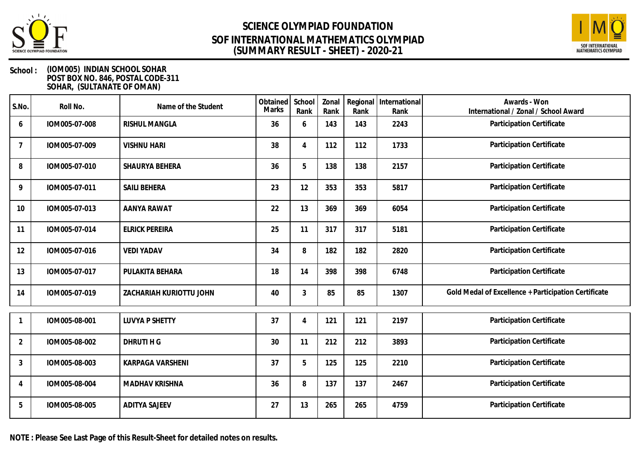



| S.No.          | Roll No.      | Name of the Student     | Obtained<br>Marks | School<br>Rank | Zonal<br>Rank | Regional<br>Rank | International<br>Rank | Awards - Won<br>International / Zonal / School Award |
|----------------|---------------|-------------------------|-------------------|----------------|---------------|------------------|-----------------------|------------------------------------------------------|
| 6              | IOM005-07-008 | <b>RISHUL MANGLA</b>    | 36                | 6              | 143           | 143              | 2243                  | Participation Certificate                            |
| 7              | IOM005-07-009 | <b>VISHNU HARI</b>      | 38                | $\overline{4}$ | 112           | 112              | 1733                  | Participation Certificate                            |
| 8              | IOM005-07-010 | SHAURYA BEHERA          | 36                | 5              | 138           | 138              | 2157                  | Participation Certificate                            |
| 9              | IOM005-07-011 | <b>SAILI BEHERA</b>     | 23                | 12             | 353           | 353              | 5817                  | Participation Certificate                            |
| 10             | IOM005-07-013 | <b>AANYA RAWAT</b>      | 22                | 13             | 369           | 369              | 6054                  | Participation Certificate                            |
| 11             | IOM005-07-014 | <b>ELRICK PEREIRA</b>   | 25                | 11             | 317           | 317              | 5181                  | Participation Certificate                            |
| 12             | IOM005-07-016 | <b>VEDI YADAV</b>       | 34                | 8              | 182           | 182              | 2820                  | Participation Certificate                            |
| 13             | IOM005-07-017 | PULAKITA BEHARA         | 18                | 14             | 398           | 398              | 6748                  | Participation Certificate                            |
| 14             | IOM005-07-019 | ZACHARIAH KURIOTTU JOHN | 40                | 3              | 85            | 85               | 1307                  | Gold Medal of Excellence + Participation Certificate |
|                | IOM005-08-001 | <b>LUVYA P SHETTY</b>   | 37                | 4              | 121           | 121              | 2197                  | Participation Certificate                            |
| $\overline{2}$ | IOM005-08-002 | DHRUTI H G              | 30                | 11             | 212           | 212              | 3893                  | Participation Certificate                            |
| 3              | IOM005-08-003 | KARPAGA VARSHENI        | 37                | 5              | 125           | 125              | 2210                  | Participation Certificate                            |
| 4              | IOM005-08-004 | MADHAV KRISHNA          | 36                | 8              | 137           | 137              | 2467                  | Participation Certificate                            |
| 5              | IOM005-08-005 | <b>ADITYA SAJEEV</b>    | 27                | 13             | 265           | 265              | 4759                  | Participation Certificate                            |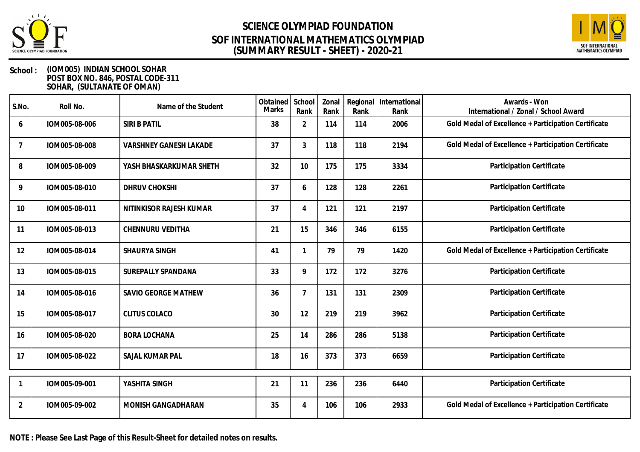



| S.No. | Roll No.      | Name of the Student           | Obtained<br><b>Marks</b> | School<br>Rank | Zonal<br>Rank | Regional<br>Rank | International<br>Rank | Awards - Won<br>International / Zonal / School Award |
|-------|---------------|-------------------------------|--------------------------|----------------|---------------|------------------|-----------------------|------------------------------------------------------|
| 6     | IOM005-08-006 | SIRI B PATIL                  | 38                       | $\overline{2}$ | 114           | 114              | 2006                  | Gold Medal of Excellence + Participation Certificate |
| 7     | IOM005-08-008 | <b>VARSHNEY GANESH LAKADE</b> | 37                       | $\mathfrak{Z}$ | 118           | 118              | 2194                  | Gold Medal of Excellence + Participation Certificate |
| 8     | IOM005-08-009 | YASH BHASKARKUMAR SHETH       | 32                       | 10             | 175           | 175              | 3334                  | Participation Certificate                            |
| 9     | IOM005-08-010 | <b>DHRUV CHOKSHI</b>          | 37                       | 6              | 128           | 128              | 2261                  | Participation Certificate                            |
| 10    | IOM005-08-011 | NITINKISOR RAJESH KUMAR       | 37                       | $\overline{4}$ | 121           | 121              | 2197                  | Participation Certificate                            |
| 11    | IOM005-08-013 | CHENNURU VEDITHA              | 21                       | 15             | 346           | 346              | 6155                  | Participation Certificate                            |
| 12    | IOM005-08-014 | SHAURYA SINGH                 | 41                       |                | 79            | 79               | 1420                  | Gold Medal of Excellence + Participation Certificate |
| 13    | IOM005-08-015 | SUREPALLY SPANDANA            | 33                       | 9              | 172           | 172              | 3276                  | Participation Certificate                            |
| 14    | IOM005-08-016 | SAVIO GEORGE MATHEW           | 36                       | $\overline{7}$ | 131           | 131              | 2309                  | Participation Certificate                            |
| 15    | IOM005-08-017 | <b>CLITUS COLACO</b>          | 30                       | 12             | 219           | 219              | 3962                  | Participation Certificate                            |
| 16    | IOM005-08-020 | <b>BORA LOCHANA</b>           | 25                       | 14             | 286           | 286              | 5138                  | Participation Certificate                            |
| 17    | IOM005-08-022 | SAJAL KUMAR PAL               | 18                       | 16             | 373           | 373              | 6659                  | Participation Certificate                            |
|       | IOM005-09-001 | YASHITA SINGH                 | 21                       | 11             | 236           | 236              | 6440                  | Participation Certificate                            |
| 2     | IOM005-09-002 | MONISH GANGADHARAN            | 35                       | $\overline{4}$ | 106           | 106              | 2933                  | Gold Medal of Excellence + Participation Certificate |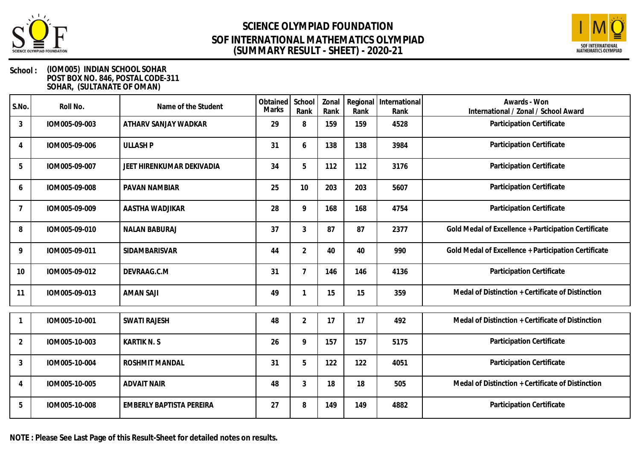



#### **School : (IOM005) INDIAN SCHOOL SOHAR POST BOX NO. 846, POSTAL CODE-311 SOHAR, (SULTANATE OF OMAN)**

| S.No.          | Roll No.      | Name of the Student       | Obtained<br>Marks | School<br>Rank | Zonal<br>Rank | Regional<br>Rank | International<br>Rank | Awards - Won<br>International / Zonal / School Award |
|----------------|---------------|---------------------------|-------------------|----------------|---------------|------------------|-----------------------|------------------------------------------------------|
| 3              | IOM005-09-003 | ATHARV SANJAY WADKAR      | 29                | 8              | 159           | 159              | 4528                  | Participation Certificate                            |
| 4              | IOM005-09-006 | <b>ULLASH P</b>           | 31                | 6              | 138           | 138              | 3984                  | Participation Certificate                            |
| 5              | IOM005-09-007 | JEET HIRENKUMAR DEKIVADIA | 34                | 5              | 112           | 112              | 3176                  | Participation Certificate                            |
| 6              | IOM005-09-008 | <b>PAVAN NAMBIAR</b>      | 25                | 10             | 203           | 203              | 5607                  | Participation Certificate                            |
| 7              | IOM005-09-009 | AASTHA WADJIKAR           | 28                | 9              | 168           | 168              | 4754                  | Participation Certificate                            |
| 8              | IOM005-09-010 | <b>NALAN BABURAJ</b>      | 37                | 3              | 87            | 87               | 2377                  | Gold Medal of Excellence + Participation Certificate |
| 9              | IOM005-09-011 | SIDAMBARISVAR             | 44                | $\overline{2}$ | 40            | 40               | 990                   | Gold Medal of Excellence + Participation Certificate |
| 10             | IOM005-09-012 | DEVRAAG.C.M               | 31                |                | 146           | 146              | 4136                  | Participation Certificate                            |
| 11             | IOM005-09-013 | <b>AMAN SAJI</b>          | 49                |                | 15            | 15               | 359                   | Medal of Distinction + Certificate of Distinction    |
|                | IOM005-10-001 | <b>SWATI RAJESH</b>       | 48                | $\overline{2}$ | 17            | 17               | 492                   | Medal of Distinction + Certificate of Distinction    |
| $\overline{2}$ | IOM005-10-003 | <b>KARTIK N. S</b>        | 26                | $\mathsf{Q}$   | 157           | 157              | 5175                  | Participation Certificate                            |
| $\mathfrak{Z}$ | IOM005-10-004 | ROSHMIT MANDAL            | 31                | 5              | 122           | 122              | 4051                  | Participation Certificate                            |
| 4              | IOM005-10-005 | <b>ADVAIT NAIR</b>        | 48                | 3              | 18            | 18               | 505                   | Medal of Distinction + Certificate of Distinction    |
| 5              | IOM005-10-008 | EMBERLY BAPTISTA PEREIRA  | 27                | 8              | 149           | 149              | 4882                  | Participation Certificate                            |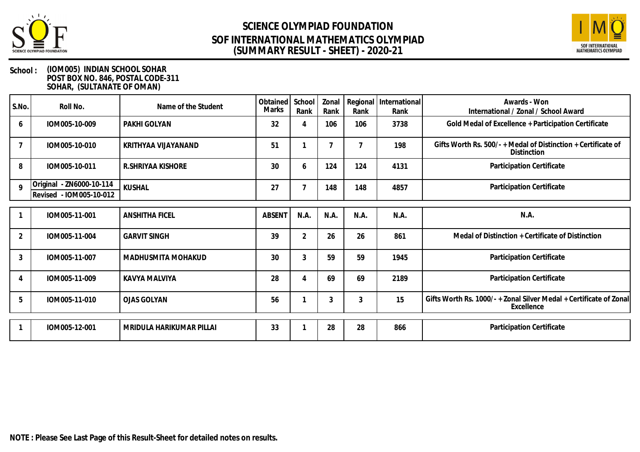



| S.No.          | Roll No.                                            | Name of the Student      | Obtained School<br>Marks | Rank           | Zonal<br>Rank | Rank | Regional   International<br>Rank | Awards - Won<br>International / Zonal / School Award                             |
|----------------|-----------------------------------------------------|--------------------------|--------------------------|----------------|---------------|------|----------------------------------|----------------------------------------------------------------------------------|
| 6              | IOM005-10-009                                       | PAKHI GOLYAN             | 32                       | 4              | 106           | 106  | 3738                             | Gold Medal of Excellence + Participation Certificate                             |
|                | IOM005-10-010                                       | KRITHYAA VIJAYANAND      | 51                       |                |               | 7    | 198                              | Gifts Worth Rs. 500/- + Medal of Distinction + Certificate of<br>Distinction     |
| 8              | IOM005-10-011                                       | R.SHRIYAA KISHORE        | 30                       | 6              | 124           | 124  | 4131                             | Participation Certificate                                                        |
| $\mathsf{o}$   | Original - ZN6000-10-114<br>Revised - IOM005-10-012 | <b>KUSHAL</b>            | 27                       |                | 148           | 148  | 4857                             | Participation Certificate                                                        |
|                | IOM005-11-001                                       | <b>ANSHITHA FICEL</b>    | <b>ABSENT</b>            | N.A.           | N.A.          | N.A. | N.A.                             | N.A.                                                                             |
| $\overline{2}$ | IOM005-11-004                                       | <b>GARVIT SINGH</b>      | 39                       | $\overline{2}$ | 26            | 26   | 861                              | Medal of Distinction + Certificate of Distinction                                |
| 3              | IOM005-11-007                                       | MADHUSMITA MOHAKUD       | 30                       | 3              | 59            | 59   | 1945                             | Participation Certificate                                                        |
|                | IOM005-11-009                                       | KAVYA MALVIYA            | 28                       | 4              | 69            | 69   | 2189                             | Participation Certificate                                                        |
| 5              | IOM005-11-010                                       | <b>OJAS GOLYAN</b>       | 56                       |                | 3             | 3    | 15                               | Gifts Worth Rs. 1000/- + Zonal Silver Medal + Certificate of Zonal<br>Excellence |
|                | IOM005-12-001                                       | MRIDULA HARIKUMAR PILLAI | 33                       |                | 28            | 28   | 866                              | Participation Certificate                                                        |
|                |                                                     |                          |                          |                |               |      |                                  |                                                                                  |